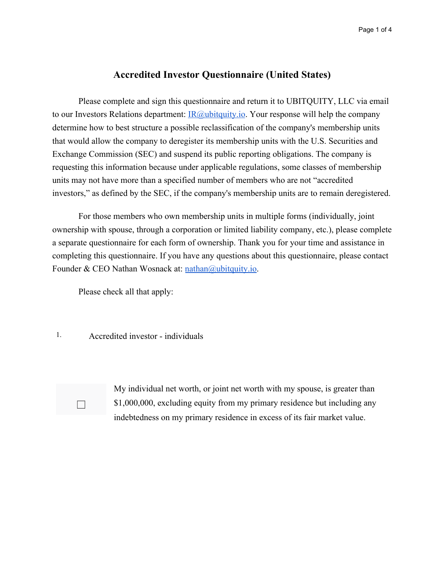## **Accredited Investor Questionnaire (United States)**

Please complete and sign this questionnaire and return it to UBITQUITY, LLC via email to our Investors Relations department:  $\text{IR@ubitquity.io}$ . Your response will help the company determine how to best structure a possible reclassification of the company's membership units that would allow the company to deregister its membership units with the U.S. Securities and Exchange Commission (SEC) and suspend its public reporting obligations. The company is requesting this information because under applicable regulations, some classes of membership units may not have more than a specified number of members who are not "accredited investors," as defined by the SEC, if the company's membership units are to remain deregistered.

For those members who own membership units in multiple forms (individually, joint ownership with spouse, through a corporation or limited liability company, etc.), please complete a separate questionnaire for each form of ownership. Thank you for your time and assistance in completing this questionnaire. If you have any questions about this questionnaire, please contact Founder & CEO Nathan Wosnack at: [nathan@ubitquity.io](mailto:nathan@ubitquity.io).

Please check all that apply:

1. Accredited investor - individuals



My individual net worth, or joint net worth with my spouse, is greater than \$1,000,000, excluding equity from my primary residence but including any indebtedness on my primary residence in excess of its fair market value.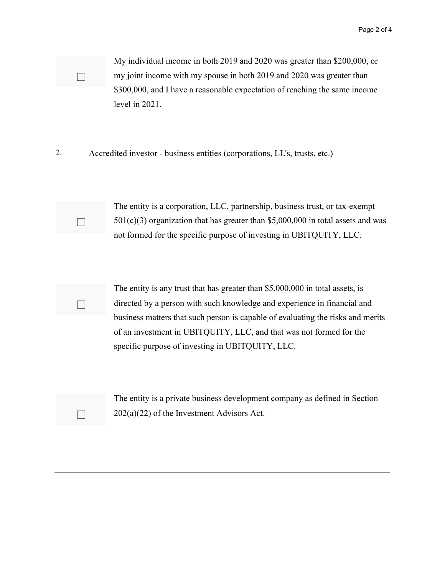My individual income in both 2019 and 2020 was greater than \$200,000, or my joint income with my spouse in both 2019 and 2020 was greater than \$300,000, and I have a reasonable expectation of reaching the same income level in 2021.

2. Accredited investor - business entities (corporations, LL's, trusts, etc.)

☐

☐

☐

☐

The entity is a corporation, LLC, partnership, business trust, or tax-exempt  $501(c)(3)$  organization that has greater than \$5,000,000 in total assets and was not formed for the specific purpose of investing in UBITQUITY, LLC.

The entity is any trust that has greater than \$5,000,000 in total assets, is directed by a person with such knowledge and experience in financial and business matters that such person is capable of evaluating the risks and merits of an investment in UBITQUITY, LLC, and that was not formed for the specific purpose of investing in UBITQUITY, LLC.

The entity is a private business development company as defined in Section  $202(a)(22)$  of the Investment Advisors Act.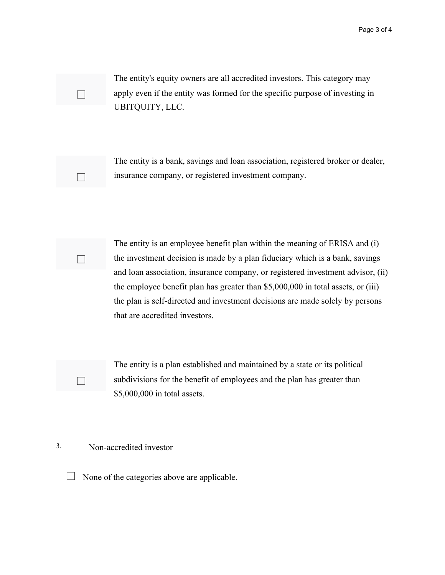The entity's equity owners are all accredited investors. This category may apply even if the entity was formed for the specific purpose of investing in UBITQUITY, LLC.



☐

☐

☐

The entity is a bank, savings and loan association, registered broker or dealer, insurance company, or registered investment company.



The entity is a plan established and maintained by a state or its political subdivisions for the benefit of employees and the plan has greater than \$5,000,000 in total assets.

## 3. Non-accredited investor

 $\Box$  None of the categories above are applicable.